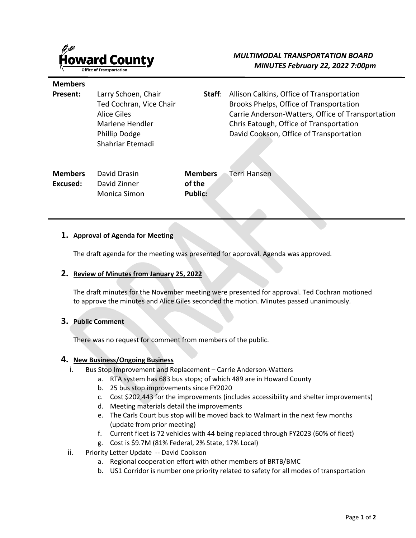

# *MULTIMODAL TRANSPORTATION BOARD MINUTES February 22, 2022 7:00pm*

#### **Members**

**Present:** Larry Schoen, Chair Ted Cochran, Vice Chair Alice Giles Marlene Hendler Phillip Dodge Shahriar Etemadi **Staff**: Allison Calkins, Office of Transportation Brooks Phelps, Office of Transportation Carrie Anderson-Watters, Office of Transportation Chris Eatough, Office of Transportation David Cookson, Office of Transportation

| Members  | David Drasin | <b>Members</b> Terri Hansen |
|----------|--------------|-----------------------------|
| Excused: | David Zinner | of the                      |
|          | Monica Simon | <b>Public:</b>              |

### **1. Approval of Agenda for Meeting**

The draft agenda for the meeting was presented for approval. Agenda was approved.

### **2. Review of Minutes from January 25, 2022**

The draft minutes for the November meeting were presented for approval. Ted Cochran motioned to approve the minutes and Alice Giles seconded the motion. Minutes passed unanimously.

### **3. Public Comment**

There was no request for comment from members of the public.

### **4. New Business/Ongoing Business**

- i. Bus Stop Improvement and Replacement Carrie Anderson-Watters
	- a. RTA system has 683 bus stops; of which 489 are in Howard County
		- b. 25 bus stop improvements since FY2020
		- c. Cost \$202,443 for the improvements (includes accessibility and shelter improvements)
		- d. Meeting materials detail the improvements
		- e. The Carls Court bus stop will be moved back to Walmart in the next few months (update from prior meeting)
		- f. Current fleet is 72 vehicles with 44 being replaced through FY2023 (60% of fleet)
		- g. Cost is \$9.7M (81% Federal, 2% State, 17% Local)
- ii. Priority Letter Update -- David Cookson
	- a. Regional cooperation effort with other members of BRTB/BMC
	- b. US1 Corridor is number one priority related to safety for all modes of transportation